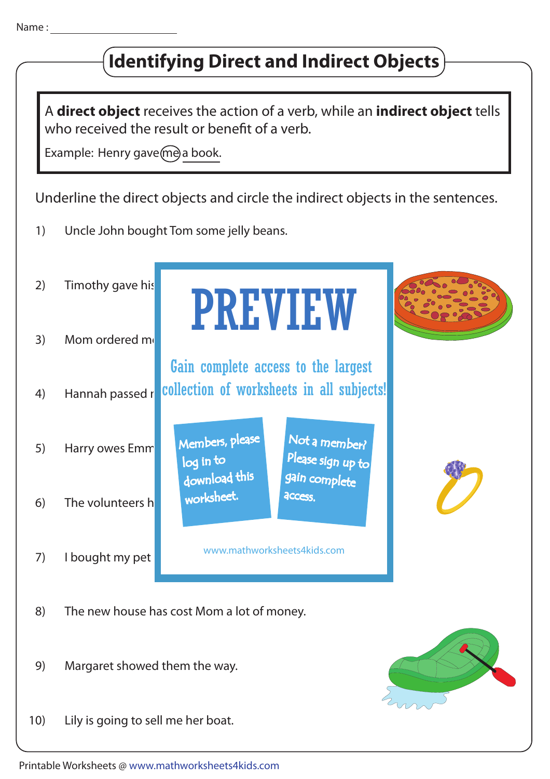